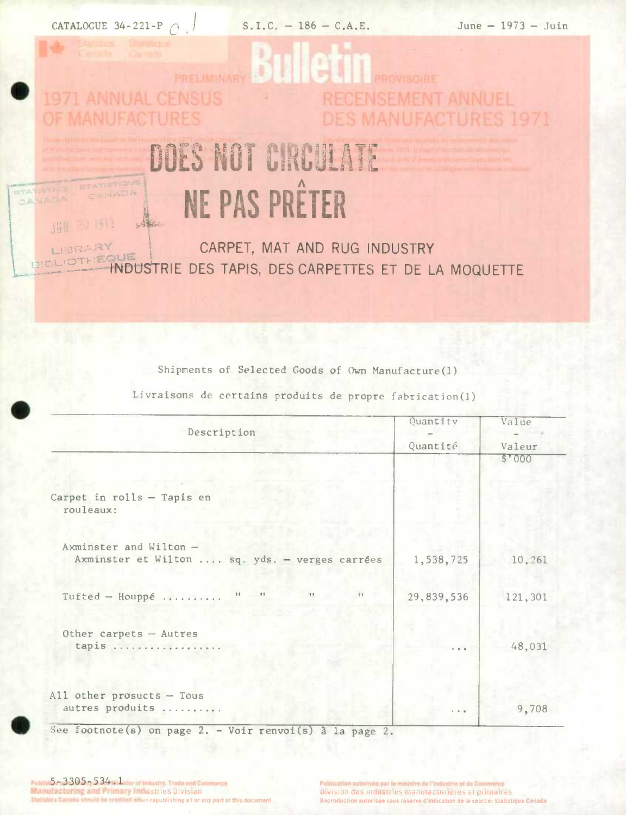CATALOGUE 34-221-P  $\cap$ 

**ULTAVISTIQUE** 

20 513

OANADA

出具。

CANALIA

 $S.I.C. - 186 - C.A.E.$ 

June  $-1973 -$  Juin

## 9d **ANNUAL CENSUS ECENSEMENT ANNUEL** LIFACTURES 1971

## DOES NOT CIRCULATE NE PAS PRÊTER

CARPET, MAT AND RUG INDUSTRY LIBRARY **BIELIOTHÉQUE** INDUSTRIE DES TAPIS, DES CARPETTES ET DE LA MOQUETTE

Shipments of Selected Goods of Own Manufacture(1)

Livraisons de certains produits de propre fabrication(1)

| Description                                                              | Quantity    | Value   |  |
|--------------------------------------------------------------------------|-------------|---------|--|
|                                                                          | Quantité    | Valeur  |  |
|                                                                          |             | \$'000  |  |
| Carpet in rolls - Tapis en<br>rouleaux:                                  |             |         |  |
|                                                                          |             |         |  |
| Axminster and Wilton -<br>Axminster et Wilton  sq. yds. - verges carrées | 1,538,725   | 10,261  |  |
| 11<br>$\mathbf{H}$<br>$\frac{1}{2}$<br>Tufted - Houppé<br>$\mathbb{H}$   | 29,839,536  | 121,301 |  |
| Other carpets - Autres                                                   |             |         |  |
| tapis                                                                    | $-1$        | 48,031  |  |
|                                                                          |             |         |  |
| All other prosucts $-$ Tous<br>autres produits                           | $1 - 1 - 1$ | 9,708   |  |

See footnote(s) on page 2. - Voir renvoi(s) à la page 2.

5-3305-534. Later of Industry, Trade and Co. Manufacturing and Primary Industries Division Million credibled when republishing all or any part of this documen